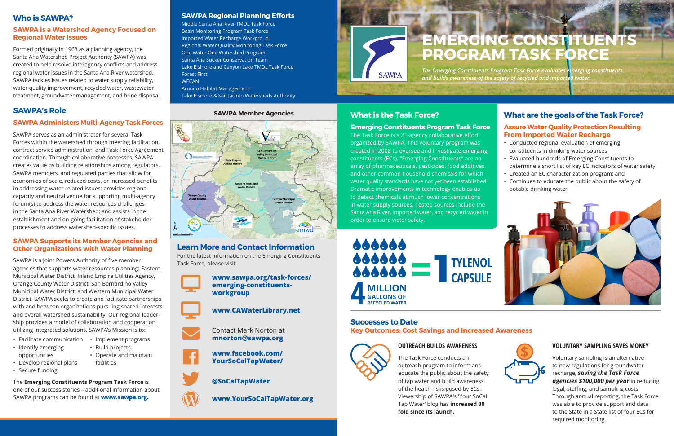*The Emerging Constituents Program Task Force evaluates emerging constituents and builds awareness of the safety of recycled and imported water.*

# **SAWPA Member Agencies What is the Task Force?**

#### **Emerging Constituents Program Task Force**

The Task Force is a 21-agency collaborative effort organized by SAWPA. This voluntary program was created in 2008 to oversee and investigate emerging constituents (ECs). "Emerging Constituents" are an array of pharmaceuticals, pesticides, food additives, and other common household chemicals for which water quality standards have not yet been established. Dramatic improvements in technology enables us to detect chemicals at much lower concentrations in water supply sources. Tested sources include the Santa Ana River, imported water, and recycled water in order to ensure water safety.

**Successes to Date Key Outcomes: Cost Savings and Increased Awareness**

## **VOLUNTARY SAMPLING SAVES MONEY**

Voluntary sampling is an alternative to new regulations for groundwater recharge, *saving the Task Force agencies \$100,000 per year* in reducing legal, staffing, and sampling costs. Through annual reporting, the Task Force was able to provide support and data to the State in a State list of four ECs for required monitoring.

## **OUTREACH BUILDS AWARENESS**



The Task Force conducts an outreach program to inform and educate the public about the safety of tap water and build awareness of the health risks posed by ECs. Viewership of SAWPA's 'Your SoCal Tap Water' blog has **increased 30 fold since its launch.**

# **Who is SAWPA?**

#### **SAWPA is a Watershed Agency Focused on Regional Water Issues**

- Facilitate communication Implement programs
- Identify emerging opportunities
- Build projects
- Operate and maintain

Formed originally in 1968 as a planning agency, the Santa Ana Watershed Project Authority (SAWPA) was created to help resolve interagency conflicts and address regional water issues in the Santa Ana River watershed. SAWPA tackles issues related to water supply reliability, water quality improvement, recycled water, wastewater treatment, groundwater management, and brine disposal.

# **SAWPA's Role**

#### **SAWPA Administers Multi-Agency Task Forces**

SAWPA serves as an administrator for several Task Forces within the watershed through meeting facilitation, contract service administration, and Task Force Agreement coordination. Through collaborative processes, SAWPA creates value by building relationships among regulators, SAWPA members, and regulated parties that allow for economies of scale, reduced costs, or increased benefits in addressing water related issues; provides regional capacity and neutral venue for supporting multi-agency forum(s) to address the water resources challenges in the Santa Ana River Watershed; and assists in the establishment and on-going facilitation of stakeholder processes to address watershed-specific issues.

#### **SAWPA Supports its Member Agencies and Other Organizations with Water Planning**

SAWPA is a Joint Powers Authority of five member agencies that supports water resources planning: Eastern Municipal Water District, Inland Empire Utilities Agency, Orange County Water District, San Bernardino Valley Municipal Water District, and Western Municipal Water District. SAWPA seeks to create and facilitate partnerships with and between organizations pursuing shared interests and overall watershed sustainability. Our regional leadership provides a model of collaboration and cooperation utilizing integrated solutions. SAWPA's Mission is to:

- Develop regional plans
- Secure funding

facilities

The **Emerging Constituents Program Task Force** is one of our success stories – additional information about SAWPA programs can be found at **www.sawpa.org.** 

# **Learn More and Contact Information**

For the latest information on the Emerging Constituents Task Force, please visit:

> **www.sawpa.org/task-forces/ emerging-constituentsworkgroup**

**www.CAWaterLibrary.net**

Contact Mark Norton at **mnorton@sawpa.org**

**www.facebook.com/ YourSoCalTapWater/**

**@SoCalTapWater**

**www.YourSoCalTapWater.org**



Desktop









 $\mathbf{\overline{W}}$ 

#### **SAWPA Regional Planning Efforts**

Middle Santa Ana River TMDL Task Force Basin Monitoring Program Task Force Imported Water Recharge Workgroup Regional Water Quality Monitoring Task Force One Water One Watershed Program Santa Ana Sucker Conservation Team Lake Elsinore and Canyon Lake TMDL Task Force Forest First **WECAN** Arundo Habitat Management Lake Elsinore & San Jacinto Watersheds Authority





# **EMERGING CONSTITUENTS PROGRAM TASK FORCE**

# **What are the goals of the Task Force?**

#### **Assure Water Quality Protection Resulting From Imported Water Recharge**

- Conducted regional evaluation of emerging constituents in drinking water sources
- Evaluated hundreds of Emerging Constituents to determine a short list of key EC indicators of water safety
- Created an EC characterization program; and
- Continues to educate the public about the safety of potable drinking water





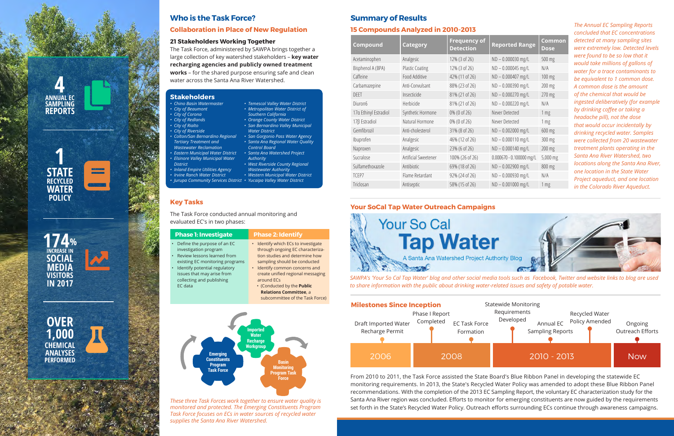# **Stakeholders**

#### *• Chino Basin Watermaster*

- *• City of Beaumont*
- *• City of Corona*
- *• City of Redlands • City of Rialto*
- *• City of Riverside*
- *• Colton/San Bernardino Regional*
- *Tertiary Treatment and Wastewater Reclamation*
- *• Eastern Municipal Water District*
- *• Elsinore Valley Municipal Water District*
- *• Inland Empire Utilities Agency*
- *• Irvine Ranch Water District*
- *• Jurupa Community Services District • Yucaipa Valley Water District • Western Municipal Water District*

*• Temescal Valley Water District • Metropolitan Water District of Southern California • Orange County Water District • San Bernardino Valley Municipal* 

*Water District*

*• San Gorgonio Pass Water Agency • Santa Ana Regional Water Quality* 

*Control Board*

*• Santa Ana Watershed Project* 

*Authority*

*• West Riverside County Regional Wastewater Authority*

# **Who is the Task Force?**

### **Collaboration in Place of New Regulation**

#### **21 Stakeholders Working Together**

The Task Force, administered by SAWPA brings together a large collection of key watershed stakeholders – **key water recharging agencies and publicly owned treatment works** – for the shared purpose ensuring safe and clean water across the Santa Ana River Watershed.

# **Key Tasks**

The Task Force conducted annual monitoring and evaluated EC's in two phases:

| <b>Phase 1: Investigate</b>                                                                                                                                                                                                                               | <b>Phase 2: Identify</b>                                                                                                                                                                                                                                                                                                                     |
|-----------------------------------------------------------------------------------------------------------------------------------------------------------------------------------------------------------------------------------------------------------|----------------------------------------------------------------------------------------------------------------------------------------------------------------------------------------------------------------------------------------------------------------------------------------------------------------------------------------------|
| • Define the purpose of an EC<br>investigation program<br>Review lessons learned from<br>$\bullet$<br>existing EC monitoring programs<br>Identify potential regulatory<br>$\bullet$<br>issues that may arise from<br>collecting and publishing<br>EC data | • Identify which ECs to investigate<br>through ongoing EC characteriza-<br>tion studies and determine how<br>sampling should be conducted<br>• Identify common concerns and<br>create unified regional messaging<br>around EC <sub>S</sub><br>. (Conducted by the Public<br><b>Relations Committee, a</b><br>subcommittee of the Task Force) |
|                                                                                                                                                                                                                                                           |                                                                                                                                                                                                                                                                                                                                              |

*SAWPA's 'Your So Cal Tap Water' blog and other social media tools such as Facebook, Twitter and website links to blog are used* 

*to share information with the public about drinking water-related issues and safety of potable water.*

## **Your SoCal Tap Water Outreach Campaigns**



From 2010 to 2011, the Task Force assisted the State Board's Blue Ribbon Panel in developing the statewide EC monitoring requirements. In 2013, the State's Recycled Water Policy was amended to adopt these Blue Ribbon Panel recommendations. With the completion of the 2013 EC Sampling Report, the voluntary EC characterization study for the Santa Ana River region was concluded. Efforts to monitor for emerging constituents are now guided by the requirements set forth in the State's Recycled Water Policy. Outreach efforts surrounding ECs continue through awareness campaigns.

*These three Task Forces work together to ensure water quality is monitored and protected. The Emerging Constituents Program Task Force focuses on ECs in water sources of recycled water supplies the Santa Ana River Watershed.*



*The Annual EC Sampling Reports concluded that EC concentrations detected at many sampling sites were extremely low. Detected levels were found to be so low that it would take millions of gallons of water for a trace contaminants to be equivalent to 1 common dose. A common dose is the amount of the chemical that would be ingested deliberatively (for example by drinking coffee or taking a headache pill), not the dose that would occur incidentally by drinking recycled water. Samples were collected from 20 wastewater treatment plants operating in the Santa Ana River Watershed, two locations along the Santa Ana River, one location in the State Water Project aqueduct, and one location in the Colorado River Aqueduct.*

# **Summary of Results**

#### **15 Compounds Analyzed in 2010-2013**



| 19 Compounds Andry Lea In Loto Lots |                        |                                         |                            |                       |  |  |  |
|-------------------------------------|------------------------|-----------------------------------------|----------------------------|-----------------------|--|--|--|
| Compound                            | <b>Category</b>        | <b>Frequency of</b><br><b>Detection</b> | <b>Reported Range</b>      | <b>Common</b><br>Dose |  |  |  |
| Acetaminophen                       | Analgesic              | 12% (3 of 26)                           | ND-0.000030 mg/L           | 500 mg                |  |  |  |
| Bisphenol A (BPA)                   | <b>Plastic Coating</b> | 12% (3 of 26)                           | ND-0.000045 mg/L           | N/A                   |  |  |  |
| Caffeine                            | Food Additive          | 42% (11 of 26)                          | ND - 0.000407 mg/L         | 100 mg                |  |  |  |
| Carbamazepine                       | Anti-Convulsant        | 88% (23 of 26)                          | ND - 0.000390 mg/L         | 200 mg                |  |  |  |
| <b>DEET</b>                         | Insecticide            | 81% (21 of 26)                          | ND-0.000270 mg/L           | 270 mg                |  |  |  |
| Diuron6                             | Herbicide              | 81% (21 of 26)                          | ND-0.000220 mg/L           | N/A                   |  |  |  |
| 17a Ethinyl Estradiol               | Synthetic Hormone      | 0% (0 of 26)                            | Never Detected             | 1 mg                  |  |  |  |
| 17β Estradiol                       | Natural Hormone        | 0% (0 of 26)                            | Never Detected             | 1 mg                  |  |  |  |
| Gemfibrozil                         | Anti-cholesterol       | 31% (8 of 26)                           | ND-0.002000 mg/L           | 600 mg                |  |  |  |
| Ibuprofen                           | Analgesic              | 46% (12 of 26)                          | ND-0.000110 mg/L           | 300 mg                |  |  |  |
| Naproxen                            | Analgesic              | 23% (6 of 26)                           | ND - 0.000140 mg/L         | 200 mg                |  |  |  |
| Sucralose                           | Artificial Sweetener   | 100% (26 of 26)                         | $0.000670 - 0.100000$ mg/L | 5,000 mg              |  |  |  |
| Sulfamethoxazole                    | Antibiotic             | 69% (18 of 26)                          | ND-0.002900 mg/L           | 800 mg                |  |  |  |
| TCEP7                               | Flame Retardant        | 92% (24 of 26)                          | ND-0.000930 mg/L           | N/A                   |  |  |  |
| Triclosan                           | Antiseptic             | 58% (15 of 26)                          | ND-0.001000 mg/L           | 1 mg                  |  |  |  |
|                                     |                        |                                         |                            |                       |  |  |  |

**ANNUAL EC SAMPLING REPORTS**



**4** 





**OVER 1,000 CHEMICAL ANALYSES PERFORMED**



 $\infty$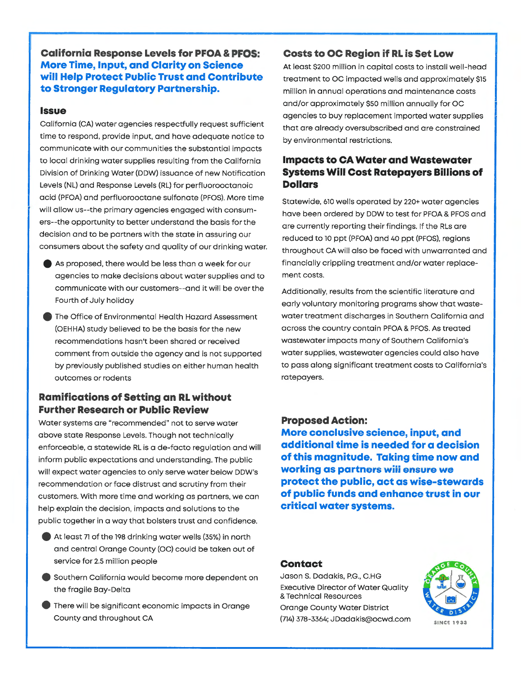#### **California Response Levels for PFOA & PFOS: More Time, Input, and Clarity on Science** will Help Protect Public Trust and Contribute to Stronger Regulatory Partnership.

#### **Issue**

California (CA) water agencies respectfully request sufficient time to respond, provide input, and have adequate notice to communicate with our communities the substantial impacts to local drinking water supplies resulting from the California Division of Drinking Water (DDW) issuance of new Notification Levels (NL) and Response Levels (RL) for perfluorooctanoic acid (PFOA) and perfluorooctane sulfonate (PFOS). More time will allow us--the primary agencies engaged with consumers--the opportunity to better understand the basis for the decision and to be partners with the state in assuring our consumers about the safety and quality of our drinking water.

- As proposed, there would be less than a week for our agencies to make decisions about water supplies and to communicate with our customers--and it will be over the Fourth of July holiday
- The Office of Environmental Health Hazard Assessment (OEHHA) study believed to be the basis for the new recommendations hasn't been shared or received comment from outside the agency and is not supported by previously published studies on either human health outcomes or rodents

#### **Ramifications of Setting an RL without Further Research or Public Review**

Water systems are "recommended" not to serve water above state Response Levels. Though not technically enforceable, a statewide RL is a de-facto regulation and will inform public expectations and understanding. The public will expect water agencies to only serve water below DDW's recommendation or face distrust and scrutiny from their customers. With more time and working as partners, we can help explain the decision, impacts and solutions to the public together in a way that bolsters trust and confidence.

- At least 71 of the 198 drinking water wells (35%) in north and central Orange County (OC) could be taken out of service for 2.5 million people
- Southern California would become more dependent on the fragile Bay-Delta
- There will be significant economic impacts in Orange County and throughout CA

#### **Costs to OC Region if RL is Set Low**

At least \$200 million in capital costs to install well-head treatment to OC impacted wells and approximately \$15 million in annual operations and maintenance costs and/or approximately \$50 million annually for OC agencies to buy replacement imported water supplies that are already oversubscribed and are constrained by environmental restrictions.

#### **Impacts to CA Water and Wastewater Systems Will Cost Ratepayers Billions of Dollars**

Statewide, 610 wells operated by 220+ water agencies have been ordered by DDW to test for PFOA & PFOS and are currently reporting their findings. If the RLs are reduced to 10 ppt (PFOA) and 40 ppt (PFOS), regions throughout CA will also be faced with unwarranted and financially crippling treatment and/or water replacement costs.

Additionally, results from the scientific literature and early voluntary monitoring programs show that wastewater treatment discharges in Southern California and across the country contain PFOA & PFOS. As treated wastewater impacts many of Southern California's water supplies, wastewater agencies could also have to pass along significant treatment costs to California's ratepayers.

#### **Proposed Action:**

More conclusive science, input, and additional time is needed for a decision of this magnitude. Taking time now and working as partners will ensure we protect the public, act as wise-stewards of public funds and enhance trust in our critical water systems.

#### **Contact**

Jason S. Dadakis, P.G., C.HG **Executive Director of Water Quality** & Technical Resources **Orange County Water District** (714) 378-3364; JDadakis@ocwd.com